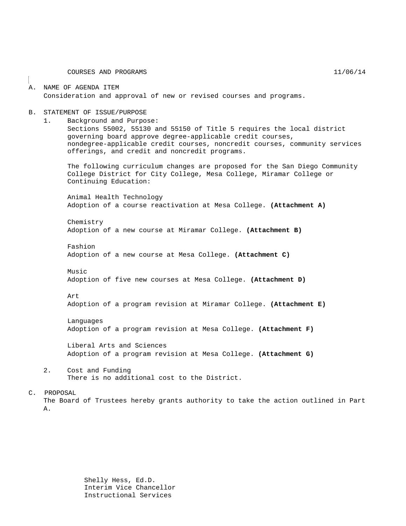COURSES AND PROGRAMS 11/06/14

## A. NAME OF AGENDA ITEM Consideration and approval of new or revised courses and programs.

#### B. STATEMENT OF ISSUE/PURPOSE

1. Background and Purpose:

Sections 55002, 55130 and 55150 of Title 5 requires the local district governing board approve degree-applicable credit courses, nondegree-applicable credit courses, noncredit courses, community services offerings, and credit and noncredit programs.

The following curriculum changes are proposed for the San Diego Community College District for City College, Mesa College, Miramar College or Continuing Education:

Animal Health Technology Adoption of a course reactivation at Mesa College. **(Attachment A)**

Chemistry Adoption of a new course at Miramar College. **(Attachment B)**

Fashion Adoption of a new course at Mesa College. **(Attachment C)**

Music

Adoption of five new courses at Mesa College. **(Attachment D)**

#### Art

Adoption of a program revision at Miramar College. **(Attachment E)**

Languages Adoption of a program revision at Mesa College. **(Attachment F)**

Liberal Arts and Sciences Adoption of a program revision at Mesa College. **(Attachment G)**

2. Cost and Funding There is no additional cost to the District.

#### C. PROPOSAL

The Board of Trustees hereby grants authority to take the action outlined in Part A.

> Shelly Hess, Ed.D. Interim Vice Chancellor Instructional Services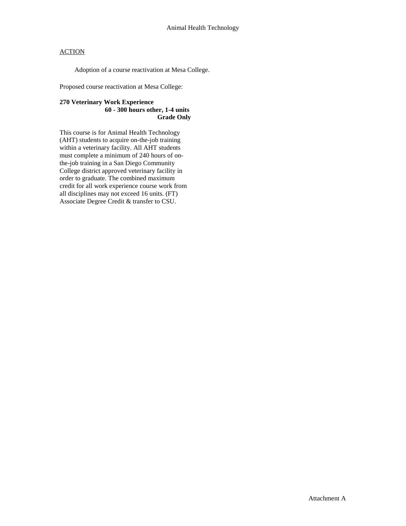Adoption of a course reactivation at Mesa College.

Proposed course reactivation at Mesa College:

# **270 Veterinary Work Experience 60 - 300 hours other, 1-4 units Grade Only**

This course is for Animal Health Technology (AHT) students to acquire on-the-job training within a veterinary facility. All AHT students must complete a minimum of 240 hours of onthe-job training in a San Diego Community College district approved veterinary facility in order to graduate. The combined maximum credit for all work experience course work from all disciplines may not exceed 16 units. (FT) Associate Degree Credit & transfer to CSU.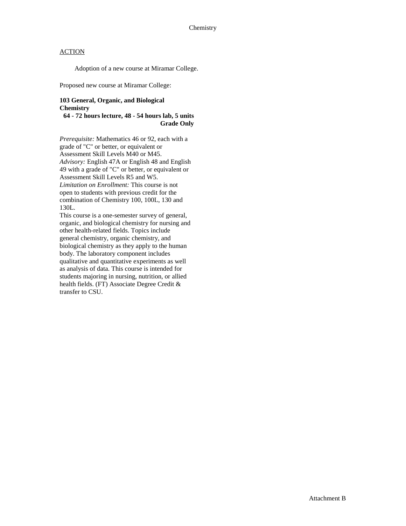Adoption of a new course at Miramar College.

Proposed new course at Miramar College:

# **103 General, Organic, and Biological Chemistry**

**64 - 72 hours lecture, 48 - 54 hours lab, 5 units Grade Only** 

*Prerequisite:* Mathematics 46 or 92, each with a grade of "C" or better, or equivalent or Assessment Skill Levels M40 or M45. *Advisory:* English 47A or English 48 and English 49 with a grade of "C" or better, or equivalent or Assessment Skill Levels R5 and W5. *Limitation on Enrollment:* This course is not open to students with previous credit for the combination of Chemistry 100, 100L, 130 and 130L.

This course is a one-semester survey of general, organic, and biological chemistry for nursing and other health-related fields. Topics include general chemistry, organic chemistry, and biological chemistry as they apply to the human body. The laboratory component includes qualitative and quantitative experiments as well as analysis of data. This course is intended for students majoring in nursing, nutrition, or allied health fields. (FT) Associate Degree Credit & transfer to CSU.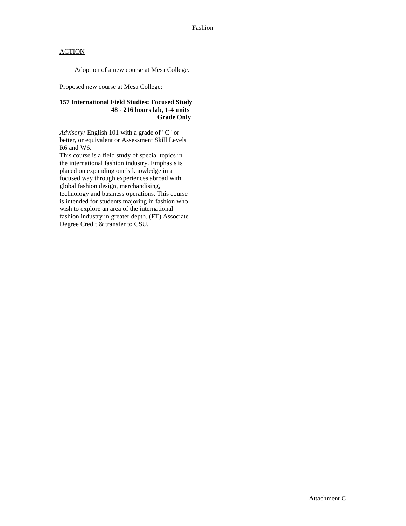Adoption of a new course at Mesa College.

Proposed new course at Mesa College:

# **157 International Field Studies: Focused Study 48 - 216 hours lab, 1-4 units Grade Only**

*Advisory:* English 101 with a grade of "C" or better, or equivalent or Assessment Skill Levels R6 and W6.

This course is a field study of special topics in the international fashion industry. Emphasis is placed on expanding one's knowledge in a focused way through experiences abroad with global fashion design, merchandising, technology and business operations. This course is intended for students majoring in fashion who wish to explore an area of the international fashion industry in greater depth. (FT) Associate Degree Credit & transfer to CSU.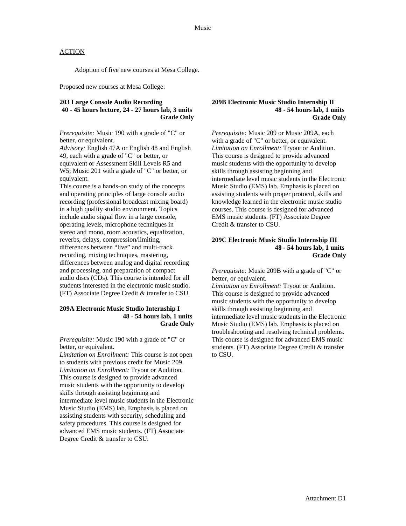Adoption of five new courses at Mesa College.

Proposed new courses at Mesa College:

# **203 Large Console Audio Recording 40 - 45 hours lecture, 24 - 27 hours lab, 3 units Grade Only**

*Prerequisite:* Music 190 with a grade of "C" or better, or equivalent.

*Advisory:* English 47A or English 48 and English 49, each with a grade of "C" or better, or equivalent or Assessment Skill Levels R5 and W5; Music 201 with a grade of "C" or better, or equivalent.

This course is a hands-on study of the concepts and operating principles of large console audio recording (professional broadcast mixing board) in a high quality studio environment. Topics include audio signal flow in a large console, operating levels, microphone techniques in stereo and mono, room acoustics, equalization, reverbs, delays, compression/limiting, differences between "live" and multi-track recording, mixing techniques, mastering, differences between analog and digital recording and processing, and preparation of compact audio discs (CDs). This course is intended for all students interested in the electronic music studio. (FT) Associate Degree Credit & transfer to CSU.

### **209A Electronic Music Studio Internship I 48 - 54 hours lab, 1 units Grade Only**

*Prerequisite:* Music 190 with a grade of "C" or better, or equivalent.

*Limitation on Enrollment:* This course is not open to students with previous credit for Music 209. *Limitation on Enrollment:* Tryout or Audition. This course is designed to provide advanced music students with the opportunity to develop skills through assisting beginning and intermediate level music students in the Electronic Music Studio (EMS) lab. Emphasis is placed on assisting students with security, scheduling and safety procedures. This course is designed for advanced EMS music students. (FT) Associate Degree Credit & transfer to CSU.

#### **209B Electronic Music Studio Internship II 48 - 54 hours lab, 1 units Grade Only**

*Prerequisite:* Music 209 or Music 209A, each with a grade of "C" or better, or equivalent. *Limitation on Enrollment:* Tryout or Audition. This course is designed to provide advanced music students with the opportunity to develop skills through assisting beginning and intermediate level music students in the Electronic Music Studio (EMS) lab. Emphasis is placed on assisting students with proper protocol, skills and knowledge learned in the electronic music studio courses. This course is designed for advanced EMS music students. (FT) Associate Degree Credit & transfer to CSU.

### **209C Electronic Music Studio Internship III 48 - 54 hours lab, 1 units Grade Only**

*Prerequisite:* Music 209B with a grade of "C" or better, or equivalent.

*Limitation on Enrollment:* Tryout or Audition. This course is designed to provide advanced music students with the opportunity to develop skills through assisting beginning and intermediate level music students in the Electronic Music Studio (EMS) lab. Emphasis is placed on troubleshooting and resolving technical problems. This course is designed for advanced EMS music students. (FT) Associate Degree Credit & transfer to CSU.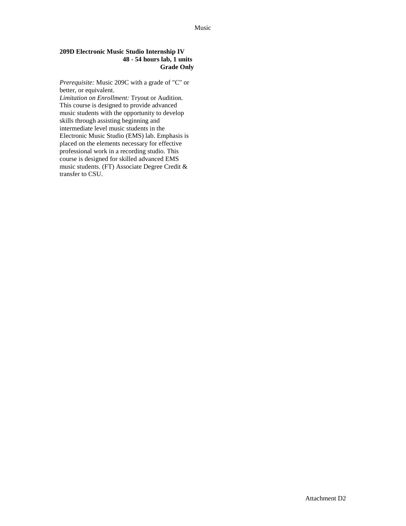# **209D Electronic Music Studio Internship IV 48 - 54 hours lab, 1 units Grade Only**

*Prerequisite:* Music 209C with a grade of "C" or better, or equivalent.

*Limitation on Enrollment:* Tryout or Audition. This course is designed to provide advanced music students with the opportunity to develop skills through assisting beginning and intermediate level music students in the Electronic Music Studio (EMS) lab. Emphasis is placed on the elements necessary for effective professional work in a recording studio. This course is designed for skilled advanced EMS music students. (FT) Associate Degree Credit & transfer to CSU.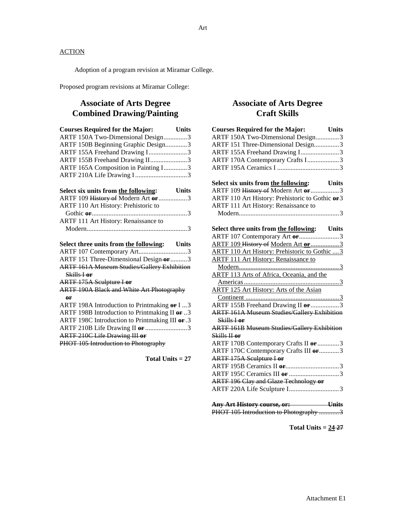Adoption of a program revision at Miramar College.

Proposed program revisions at Miramar College:

# **Associate of Arts Degree Combined Drawing/Painting**

| <b>Courses Required for the Major:</b> Units                                                                                                                                                                                                                                                                                                                                                                                                                                                                                                                                  |
|-------------------------------------------------------------------------------------------------------------------------------------------------------------------------------------------------------------------------------------------------------------------------------------------------------------------------------------------------------------------------------------------------------------------------------------------------------------------------------------------------------------------------------------------------------------------------------|
| ARTF 150A Two-Dimensional Design3                                                                                                                                                                                                                                                                                                                                                                                                                                                                                                                                             |
| ARTF 150B Beginning Graphic Design3                                                                                                                                                                                                                                                                                                                                                                                                                                                                                                                                           |
| ARTF 155A Freehand Drawing I3                                                                                                                                                                                                                                                                                                                                                                                                                                                                                                                                                 |
| ARTF 155B Freehand Drawing II3                                                                                                                                                                                                                                                                                                                                                                                                                                                                                                                                                |
| ARTF 165A Composition in Painting I3                                                                                                                                                                                                                                                                                                                                                                                                                                                                                                                                          |
| ARTF 210A Life Drawing I3                                                                                                                                                                                                                                                                                                                                                                                                                                                                                                                                                     |
| Select six units from the following: Units                                                                                                                                                                                                                                                                                                                                                                                                                                                                                                                                    |
| ARTF 109 History of Modern Art or 3                                                                                                                                                                                                                                                                                                                                                                                                                                                                                                                                           |
| ARTF 110 Art History: Prehistoric to                                                                                                                                                                                                                                                                                                                                                                                                                                                                                                                                          |
|                                                                                                                                                                                                                                                                                                                                                                                                                                                                                                                                                                               |
| ARTF 111 Art History: Renaissance to                                                                                                                                                                                                                                                                                                                                                                                                                                                                                                                                          |
|                                                                                                                                                                                                                                                                                                                                                                                                                                                                                                                                                                               |
|                                                                                                                                                                                                                                                                                                                                                                                                                                                                                                                                                                               |
|                                                                                                                                                                                                                                                                                                                                                                                                                                                                                                                                                                               |
|                                                                                                                                                                                                                                                                                                                                                                                                                                                                                                                                                                               |
|                                                                                                                                                                                                                                                                                                                                                                                                                                                                                                                                                                               |
|                                                                                                                                                                                                                                                                                                                                                                                                                                                                                                                                                                               |
|                                                                                                                                                                                                                                                                                                                                                                                                                                                                                                                                                                               |
|                                                                                                                                                                                                                                                                                                                                                                                                                                                                                                                                                                               |
|                                                                                                                                                                                                                                                                                                                                                                                                                                                                                                                                                                               |
|                                                                                                                                                                                                                                                                                                                                                                                                                                                                                                                                                                               |
|                                                                                                                                                                                                                                                                                                                                                                                                                                                                                                                                                                               |
|                                                                                                                                                                                                                                                                                                                                                                                                                                                                                                                                                                               |
|                                                                                                                                                                                                                                                                                                                                                                                                                                                                                                                                                                               |
|                                                                                                                                                                                                                                                                                                                                                                                                                                                                                                                                                                               |
|                                                                                                                                                                                                                                                                                                                                                                                                                                                                                                                                                                               |
| Select three units from the following: Units<br>ARTF 107 Contemporary Art3<br>ARTF 151 Three-Dimensional Design-or 3<br><b>ARTF 161A Museum Studies/Gallery Exhibition</b><br>Skills I <b>or</b><br><b>ARTF 175A Sculpture I or</b><br><b>ARTF 190A Black and White Art Photography</b><br>$\mathbf{or}$<br>ARTF 198A Introduction to Printmaking or I3<br>ARTF 198B Introduction to Printmaking II or 3<br>ARTF 198C Introduction to Printmaking III or .3<br>ARTF 210B Life Drawing II or 3<br><b>ARTF 210C Life Drawing III or</b><br>PHOT 105 Introduction to Photography |

**Total Units = 27**

# **Associate of Arts Degree Craft Skills**

| <b>Courses Required for the Major:</b><br>ARTF 150A Two-Dimensional Design3<br>ARTF 151 Three-Dimensional Design3<br>ARTF 155A Freehand Drawing I3<br>ARTF 170A Contemporary Crafts I3<br>Select six units from <u>the following</u> : Units<br>ARTF 109 <del>History of</del> Modern Art <del>or</del> 3<br>ARTF 110 Art History: Prehistoric to Gothic or 3<br>ARTF 111 Art History: Renaissance to<br>Select three units from the following: Units<br>ARTF 109 History of Modern Art or 3<br>ARTF 110 Art History: Prehistoric to Gothic  3 |
|------------------------------------------------------------------------------------------------------------------------------------------------------------------------------------------------------------------------------------------------------------------------------------------------------------------------------------------------------------------------------------------------------------------------------------------------------------------------------------------------------------------------------------------------|
|                                                                                                                                                                                                                                                                                                                                                                                                                                                                                                                                                |
|                                                                                                                                                                                                                                                                                                                                                                                                                                                                                                                                                |
|                                                                                                                                                                                                                                                                                                                                                                                                                                                                                                                                                |
|                                                                                                                                                                                                                                                                                                                                                                                                                                                                                                                                                |
|                                                                                                                                                                                                                                                                                                                                                                                                                                                                                                                                                |
|                                                                                                                                                                                                                                                                                                                                                                                                                                                                                                                                                |
|                                                                                                                                                                                                                                                                                                                                                                                                                                                                                                                                                |
|                                                                                                                                                                                                                                                                                                                                                                                                                                                                                                                                                |
|                                                                                                                                                                                                                                                                                                                                                                                                                                                                                                                                                |
|                                                                                                                                                                                                                                                                                                                                                                                                                                                                                                                                                |
|                                                                                                                                                                                                                                                                                                                                                                                                                                                                                                                                                |
|                                                                                                                                                                                                                                                                                                                                                                                                                                                                                                                                                |
|                                                                                                                                                                                                                                                                                                                                                                                                                                                                                                                                                |
|                                                                                                                                                                                                                                                                                                                                                                                                                                                                                                                                                |
|                                                                                                                                                                                                                                                                                                                                                                                                                                                                                                                                                |
| <b>ARTF 111 Art History: Renaissance to</b>                                                                                                                                                                                                                                                                                                                                                                                                                                                                                                    |
|                                                                                                                                                                                                                                                                                                                                                                                                                                                                                                                                                |
| ARTF 113 Arts of Africa, Oceania, and the                                                                                                                                                                                                                                                                                                                                                                                                                                                                                                      |
|                                                                                                                                                                                                                                                                                                                                                                                                                                                                                                                                                |
| <b>ARTF 125 Art History: Arts of the Asian</b>                                                                                                                                                                                                                                                                                                                                                                                                                                                                                                 |
|                                                                                                                                                                                                                                                                                                                                                                                                                                                                                                                                                |
| ARTF 155B Freehand Drawing II or 3                                                                                                                                                                                                                                                                                                                                                                                                                                                                                                             |
| <b>ARTF 161A Museum Studies/Gallery Exhibition</b>                                                                                                                                                                                                                                                                                                                                                                                                                                                                                             |
| Skills I or                                                                                                                                                                                                                                                                                                                                                                                                                                                                                                                                    |
| <b>ARTF 161B Museum Studies/Gallery Exhibition</b>                                                                                                                                                                                                                                                                                                                                                                                                                                                                                             |
| Skills II or                                                                                                                                                                                                                                                                                                                                                                                                                                                                                                                                   |
| ARTF 170B Contemporary Crafts II or 3                                                                                                                                                                                                                                                                                                                                                                                                                                                                                                          |
| ARTF 170C Contemporary Crafts III or3                                                                                                                                                                                                                                                                                                                                                                                                                                                                                                          |
| <b>ARTF 175A Sculpture I or</b>                                                                                                                                                                                                                                                                                                                                                                                                                                                                                                                |
|                                                                                                                                                                                                                                                                                                                                                                                                                                                                                                                                                |
|                                                                                                                                                                                                                                                                                                                                                                                                                                                                                                                                                |
| <b>ARTF 196 Clay and Glaze Technology or</b>                                                                                                                                                                                                                                                                                                                                                                                                                                                                                                   |
|                                                                                                                                                                                                                                                                                                                                                                                                                                                                                                                                                |
|                                                                                                                                                                                                                                                                                                                                                                                                                                                                                                                                                |
| Any Art History course, or: Units<br>PHOT 105 Introduction to Photography 3                                                                                                                                                                                                                                                                                                                                                                                                                                                                    |

Total Units  $= 24.27$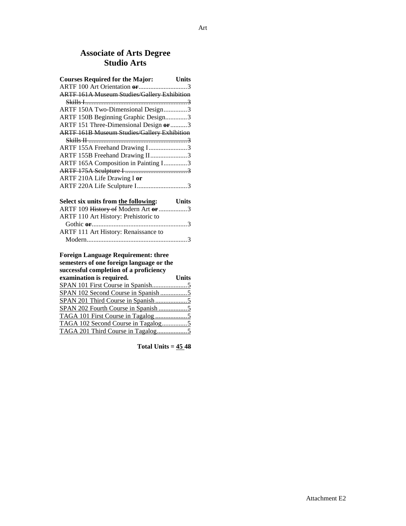# **Associate of Arts Degree Studio Arts**

| <b>Courses Required for the Major:</b>             | Units |
|----------------------------------------------------|-------|
|                                                    |       |
| <b>ARTF 161A Museum Studies/Gallery Exhibition</b> |       |
|                                                    |       |
| ARTF 150A Two-Dimensional Design3                  |       |
| ARTF 150B Beginning Graphic Design3                |       |
| ARTF 151 Three-Dimensional Design or 3             |       |
| <b>ARTF 161B Museum Studies/Gallery Exhibition</b> |       |
|                                                    |       |
| ARTF 155A Freehand Drawing I3                      |       |
| ARTF 155B Freehand Drawing II3                     |       |
| ARTF 165A Composition in Painting I3               |       |
|                                                    |       |
| ARTF 210A Life Drawing I or                        |       |
| ARTF 220A Life Sculpture I3                        |       |
|                                                    |       |

| Select six units from the following: Units |  |
|--------------------------------------------|--|
| ARTF 109 History of Modern Art or 3        |  |
| ARTF 110 Art History: Prehistoric to       |  |
|                                            |  |
| ARTF 111 Art History: Renaissance to       |  |
|                                            |  |

| <b>Foreign Language Requirement: three</b><br>semesters of one foreign language or the<br>successful completion of a proficiency |       |
|----------------------------------------------------------------------------------------------------------------------------------|-------|
| examination is required.                                                                                                         | Units |
|                                                                                                                                  |       |
|                                                                                                                                  |       |
|                                                                                                                                  |       |
|                                                                                                                                  |       |
|                                                                                                                                  |       |
|                                                                                                                                  |       |
|                                                                                                                                  |       |

**Total Units = 45 48**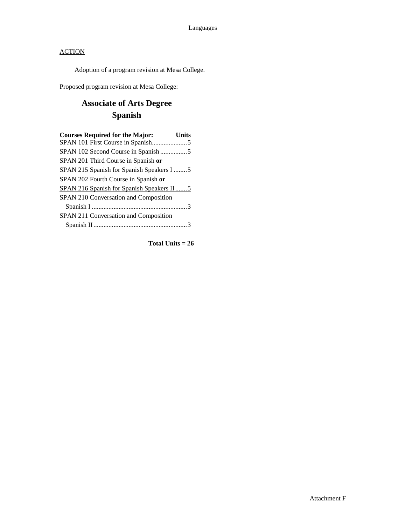Adoption of a program revision at Mesa College.

Proposed program revision at Mesa College:

# **Associate of Arts Degree Spanish**

| <b>Courses Required for the Major:</b><br>Units  |
|--------------------------------------------------|
|                                                  |
| SPAN 102 Second Course in Spanish5               |
| SPAN 201 Third Course in Spanish or              |
| SPAN 215 Spanish for Spanish Speakers I 5        |
| SPAN 202 Fourth Course in Spanish or             |
| <b>SPAN 216 Spanish for Spanish Speakers II5</b> |
| SPAN 210 Conversation and Composition            |
|                                                  |
| SPAN 211 Conversation and Composition            |
|                                                  |

**Total Units = 26**